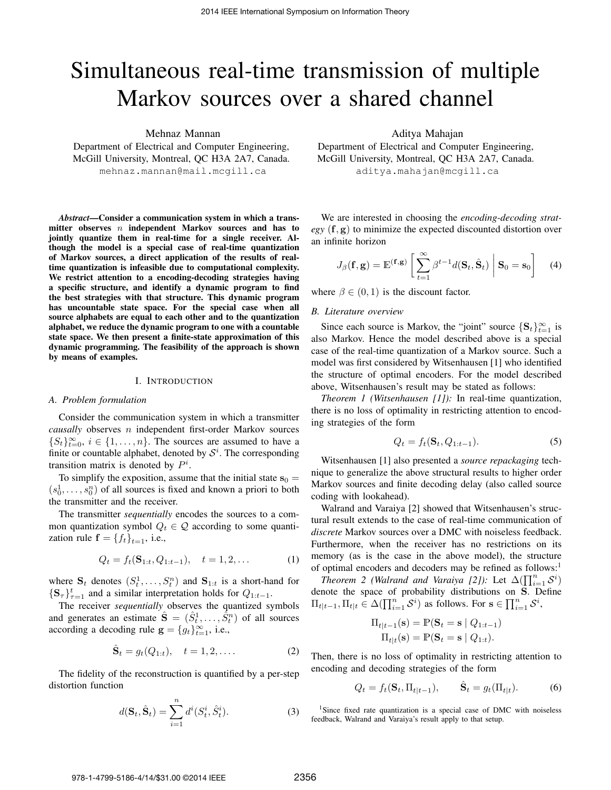# Simultaneous real-time transmission of multiple Markov sources over a shared channel

Mehnaz Mannan

Department of Electrical and Computer Engineering, McGill University, Montreal, QC H3A 2A7, Canada. mehnaz.mannan@mail.mcgill.ca

*Abstract*—Consider a communication system in which a transmitter observes  $n$  independent Markov sources and has to jointly quantize them in real-time for a single receiver. Although the model is a special case of real-time quantization of Markov sources, a direct application of the results of realtime quantization is infeasible due to computational complexity. We restrict attention to a encoding-decoding strategies having a specific structure, and identify a dynamic program to find the best strategies with that structure. This dynamic program has uncountable state space. For the special case when all source alphabets are equal to each other and to the quantization alphabet, we reduce the dynamic program to one with a countable state space. We then present a finite-state approximation of this dynamic programming. The feasibility of the approach is shown by means of examples.

#### I. INTRODUCTION

#### *A. Problem formulation*

Consider the communication system in which a transmitter *causally* observes n independent first-order Markov sources  $\{S_t\}_{t=0}^{\infty}, i \in \{1, \ldots, n\}$ . The sources are assumed to have a finite or countable alphabet, denoted by  $S<sup>i</sup>$ . The corresponding transition matrix is denoted by  $P^i$ .

To simplify the exposition, assume that the initial state  $s_0 =$  $(s_0^1, \ldots, s_0^n)$  of all sources is fixed and known a priori to both the transmitter and the receiver.

The transmitter *sequentially* encodes the sources to a common quantization symbol  $Q_t \in \mathcal{Q}$  according to some quantization rule  $f = \{f_t\}_{t=1}$ , i.e.,

$$
Q_t = f_t(\mathbf{S}_{1:t}, Q_{1:t-1}), \quad t = 1, 2, \dots \tag{1}
$$

where  $S_t$  denotes  $(S_t^1, \ldots, S_t^n)$  and  $S_{1:t}$  is a short-hand for  $\{S_{\tau}\}_{\tau=1}^t$  and a similar interpretation holds for  $Q_{1:t-1}$ .

The receiver *sequentially* observes the quantized symbols and generates an estimate  $\hat{\mathbf{S}} = (\hat{S}_t^1, \dots, \hat{S}_t^n)$  of all sources according a decoding rule  $\mathbf{g} = \{g_t\}_{t=1}^{\infty}$ , i.e.,

$$
\hat{\mathbf{S}}_t = g_t(Q_{1:t}), \quad t = 1, 2, \dots \tag{2}
$$

The fidelity of the reconstruction is quantified by a per-step distortion function

$$
d(\mathbf{S}_t, \hat{\mathbf{S}}_t) = \sum_{i=1}^n d^i(S_t^i, \hat{S}_t^i).
$$
 (3)

Aditya Mahajan

Department of Electrical and Computer Engineering, McGill University, Montreal, QC H3A 2A7, Canada. aditya.mahajan@mcgill.ca

We are interested in choosing the *encoding-decoding strategy* (f, g) to minimize the expected discounted distortion over an infinite horizon

$$
J_{\beta}(\mathbf{f}, \mathbf{g}) = \mathbb{E}^{(\mathbf{f}, \mathbf{g})} \left[ \sum_{t=1}^{\infty} \beta^{t-1} d(\mathbf{S}_t, \hat{\mathbf{S}}_t) \middle| \mathbf{S}_0 = \mathbf{s}_0 \right]
$$
(4)

where  $\beta \in (0, 1)$  is the discount factor.

## *B. Literature overview*

Since each source is Markov, the "joint" source  $\{S_t\}_{t=1}^{\infty}$  is also Markov. Hence the model described above is a special case of the real-time quantization of a Markov source. Such a model was first considered by Witsenhausen [1] who identified the structure of optimal encoders. For the model described above, Witsenhausen's result may be stated as follows:

*Theorem 1 (Witsenhausen [1]):* In real-time quantization, there is no loss of optimality in restricting attention to encoding strategies of the form

$$
Q_t = f_t(\mathbf{S}_t, Q_{1:t-1}).\tag{5}
$$

Witsenhausen [1] also presented a *source repackaging* technique to generalize the above structural results to higher order Markov sources and finite decoding delay (also called source coding with lookahead).

Walrand and Varaiya [2] showed that Witsenhausen's structural result extends to the case of real-time communication of *discrete* Markov sources over a DMC with noiseless feedback. Furthermore, when the receiver has no restrictions on its memory (as is the case in the above model), the structure of optimal encoders and decoders may be refined as follows:<sup>1</sup>

*Theorem 2 (Walrand and Varaiya [2]):* Let  $\Delta(\prod_{i=1}^n S^i)$ denote the space of probability distributions on S. Define  $\Pi_{t|t-1}, \Pi_{t|t} \in \Delta(\prod_{i=1}^n S^i)$  as follows. For  $s \in \prod_{i=1}^n S^i$ ,

$$
\Pi_{t|t-1}(\mathbf{s}) = \mathbb{P}(\mathbf{S}_t = \mathbf{s} | Q_{1:t-1})
$$

$$
\Pi_{t|t}(\mathbf{s}) = \mathbb{P}(\mathbf{S}_t = \mathbf{s} | Q_{1:t}).
$$

Then, there is no loss of optimality in restricting attention to encoding and decoding strategies of the form

$$
Q_t = f_t(\mathbf{S}_t, \Pi_{t|t-1}), \qquad \hat{\mathbf{S}}_t = g_t(\Pi_{t|t}). \tag{6}
$$

<sup>1</sup>Since fixed rate quantization is a special case of DMC with noiseless feedback, Walrand and Varaiya's result apply to that setup.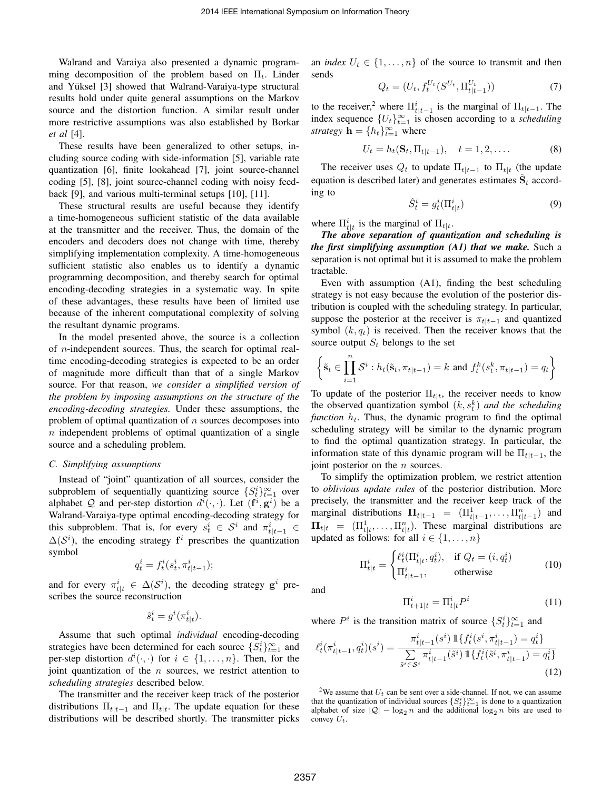Walrand and Varaiya also presented a dynamic programming decomposition of the problem based on  $\Pi_t$ . Linder and Yüksel [3] showed that Walrand-Varaiya-type structural results hold under quite general assumptions on the Markov source and the distortion function. A similar result under more restrictive assumptions was also established by Borkar *et al* [4].

These results have been generalized to other setups, including source coding with side-information [5], variable rate quantization [6], finite lookahead [7], joint source-channel coding [5], [8], joint source-channel coding with noisy feedback [9], and various multi-terminal setups [10], [11].

These structural results are useful because they identify a time-homogeneous sufficient statistic of the data available at the transmitter and the receiver. Thus, the domain of the encoders and decoders does not change with time, thereby simplifying implementation complexity. A time-homogeneous sufficient statistic also enables us to identify a dynamic programming decomposition, and thereby search for optimal encoding-decoding strategies in a systematic way. In spite of these advantages, these results have been of limited use because of the inherent computational complexity of solving the resultant dynamic programs.

In the model presented above, the source is a collection of n-independent sources. Thus, the search for optimal realtime encoding-decoding strategies is expected to be an order of magnitude more difficult than that of a single Markov source. For that reason, *we consider a simplified version of the problem by imposing assumptions on the structure of the encoding-decoding strategies.* Under these assumptions, the problem of optimal quantization of  $n$  sources decomposes into  $n$  independent problems of optimal quantization of a single source and a scheduling problem.

#### *C. Simplifying assumptions*

Instead of "joint" quantization of all sources, consider the subproblem of sequentially quantizing source  $\{S_t^i\}_{t=1}^{\infty}$  over alphabet Q and per-step distortion  $d^i(\cdot, \cdot)$ . Let  $(f^i, g^i)$  be a Walrand-Varaiya-type optimal encoding-decoding strategy for this subproblem. That is, for every  $s_t^i \in S^i$  and  $\pi_{t|t-1}^i \in$  $\Delta(\mathcal{S}^i)$ , the encoding strategy  $f^i$  prescribes the quantization symbol

$$
q_t^i = f_t^i(s_t^i, \pi_{t|t-1}^i);
$$

and for every  $\pi_{t|t}^i \in \Delta(\mathcal{S}^i)$ , the decoding strategy  $\mathbf{g}^i$  prescribes the source reconstruction

$$
\hat{s}_t^i = g^i(\pi_{t|t}^i).
$$

Assume that such optimal *individual* encoding-decoding strategies have been determined for each source  $\{S_t^i\}_{t=1}^\infty$  and per-step distortion  $d^i(\cdot, \cdot)$  for  $i \in \{1, \ldots, n\}$ . Then, for the joint quantization of the  $n$  sources, we restrict attention to *scheduling strategies* described below.

The transmitter and the receiver keep track of the posterior distributions  $\Pi_{t|t-1}$  and  $\Pi_{t|t}$ . The update equation for these distributions will be described shortly. The transmitter picks

an *index*  $U_t \in \{1, \ldots, n\}$  of the source to transmit and then sends

$$
Q_t = (U_t, f_t^{U_t}(S^{U_t}, \Pi_{t|t-1}^{U_t}))
$$
\n(7)

to the receiver,<sup>2</sup> where  $\Pi_{t|t-1}^i$  is the marginal of  $\Pi_{t|t-1}$ . The index sequence  ${U_t}_{t=1}^{\infty}$  is chosen according to a *scheduling strategy* **h** =  $\{h_t\}_{t=1}^{\infty}$  where

$$
U_t = h_t(\mathbf{S}_t, \Pi_{t|t-1}), \quad t = 1, 2, \dots
$$
 (8)

The receiver uses  $Q_t$  to update  $\Pi_{t|t-1}$  to  $\Pi_{t|t}$  (the update equation is described later) and generates estimates  $\hat{\mathbf{S}}_t$  according to

$$
\hat{S}_t^i = g_t^i(\Pi_{t|t}^i) \tag{9}
$$

where  $\Pi_{t|t}^i$  is the marginal of  $\Pi_{t|t}$ .

*The above separation of quantization and scheduling is the first simplifying assumption (A1) that we make.* Such a separation is not optimal but it is assumed to make the problem tractable.

Even with assumption (A1), finding the best scheduling strategy is not easy because the evolution of the posterior distribution is coupled with the scheduling strategy. In particular, suppose the posterior at the receiver is  $\pi_{t|t-1}$  and quantized symbol  $(k, q_t)$  is received. Then the receiver knows that the source output  $S_t$  belongs to the set

$$
\left\{ \tilde{\mathbf{s}}_t \in \prod_{i=1}^n \mathcal{S}^i : h_t(\tilde{\mathbf{s}}_t, \pi_{t|t-1}) = k \text{ and } f_t^k(s_t^k, \pi_{t|t-1}) = q_t \right\}
$$

To update of the posterior  $\Pi_{t|t}$ , the receiver needs to know the observed quantization symbol  $(k, s_t^k)$  *and the scheduling function*  $h_t$ . Thus, the dynamic program to find the optimal scheduling strategy will be similar to the dynamic program to find the optimal quantization strategy. In particular, the information state of this dynamic program will be  $\Pi_{t|t-1}$ , the joint posterior on the  $n$  sources.

To simplify the optimization problem, we restrict attention to *oblivious update rules* of the posterior distribution. More precisely, the transmitter and the receiver keep track of the marginal distributions  $\Pi_{t|t-1} = (\Pi_{t|t-1}^1, \dots, \Pi_{t|t-1}^n)$  and  $\Pi_{t|t} = (\Pi_{t|t}^1, \dots, \Pi_{t|t}^n)$ . These marginal distributions are updated as follows: for all  $i \in \{1, \ldots, n\}$ 

$$
\Pi_{t|t}^{i} = \begin{cases} \ell_t^i(\Pi_{t|t}^i, q_t^i), & \text{if } Q_t = (i, q_t^i) \\ \Pi_{t|t-1}^i, & \text{otherwise} \end{cases}
$$
(10)

and

$$
\Pi_{t+1|t}^i = \Pi_{t|t}^i P^i \tag{11}
$$

where  $P^i$  is the transition matrix of source  $\{S_t^i\}_{t=1}^\infty$  and

$$
\ell_t^i(\pi_{t|t-1}^i, q_t^i)(s^i) = \frac{\pi_{t|t-1}^i(s^i) \, \mathbb{1}\{f_t^i(s^i, \pi_{t|t-1}^i) = q_t^i\}}{\sum\limits_{\tilde{s}^i \in \mathcal{S}^i} \pi_{t|t-1}^i(\tilde{s}^i) \, \mathbb{1}\{f_t^i(\tilde{s}^i, \pi_{t|t-1}^i) = q_t^i\}}
$$
(12)

<sup>2</sup>We assume that  $U_t$  can be sent over a side-channel. If not, we can assume that the quantization of individual sources  $\{S_t^i\}_{t=1}^\infty$  is done to a quantization alphabet of size  $|Q| - \log_2 n$  and the additional  $\log_2 n$  bits are used to convey  $U_t$ .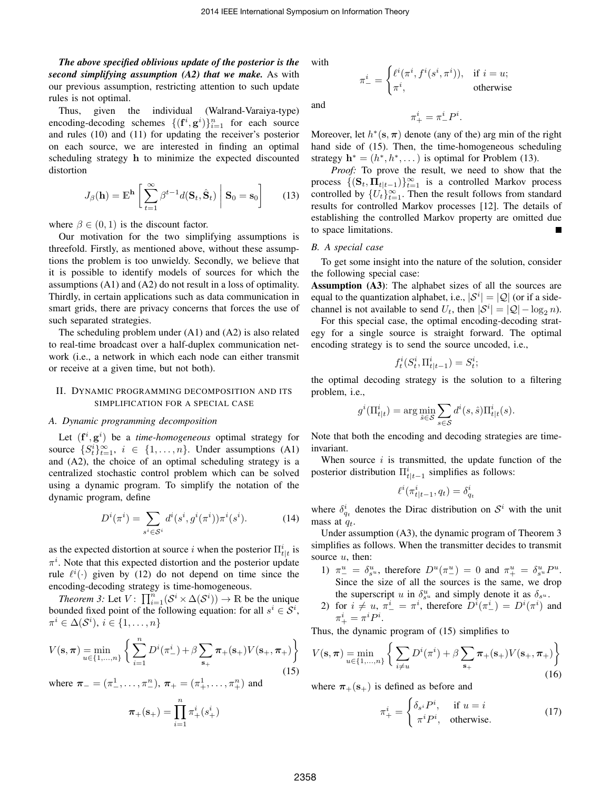*The above specified oblivious update of the posterior is the second simplifying assumption (A2) that we make.* As with our previous assumption, restricting attention to such update rules is not optimal.

Thus, given the individual (Walrand-Varaiya-type) encoding-decoding schemes  $\{(\mathbf{f}^i, \mathbf{g}^i)\}_{i=1}^n$  for each source and rules (10) and (11) for updating the receiver's posterior on each source, we are interested in finding an optimal scheduling strategy h to minimize the expected discounted distortion

$$
J_{\beta}(\mathbf{h}) = \mathbb{E}^{\mathbf{h}} \left[ \sum_{t=1}^{\infty} \beta^{t-1} d(\mathbf{S}_t, \hat{\mathbf{S}}_t) \middle| \mathbf{S}_0 = \mathbf{s}_0 \right]
$$
(13)

where  $\beta \in (0, 1)$  is the discount factor.

Our motivation for the two simplifying assumptions is threefold. Firstly, as mentioned above, without these assumptions the problem is too unwieldy. Secondly, we believe that it is possible to identify models of sources for which the assumptions (A1) and (A2) do not result in a loss of optimality. Thirdly, in certain applications such as data communication in smart grids, there are privacy concerns that forces the use of such separated strategies.

The scheduling problem under (A1) and (A2) is also related to real-time broadcast over a half-duplex communication network (i.e., a network in which each node can either transmit or receive at a given time, but not both).

## II. DYNAMIC PROGRAMMING DECOMPOSITION AND ITS SIMPLIFICATION FOR A SPECIAL CASE

#### *A. Dynamic programming decomposition*

Let  $(f^i, g^i)$  be a *time-homogeneous* optimal strategy for source  $\{S_t^i\}_{t=1}^{\infty}$ ,  $i \in \{1, ..., n\}$ . Under assumptions (A1) and (A2), the choice of an optimal scheduling strategy is a centralized stochastic control problem which can be solved using a dynamic program. To simplify the notation of the dynamic program, define

$$
D^{i}(\pi^{i}) = \sum_{s^{i} \in S^{i}} d^{i}(s^{i}, g^{i}(\pi^{i})) \pi^{i}(s^{i}).
$$
 (14)

as the expected distortion at source i when the posterior  $\prod_{t}^{i}$  is  $\pi^{i}$ . Note that this expected distortion and the posterior update rule  $\ell^i(\cdot)$  given by (12) do not depend on time since the encoding-decoding strategy is time-homogeneous.

*Theorem 3:* Let  $V: \prod_{i=1}^{n} (\mathcal{S}^i \times \Delta(\mathcal{S}^i)) \rightarrow \mathbb{R}$  be the unique bounded fixed point of the following equation: for all  $s^i \in \mathcal{S}^i$ ,  $\pi^i \in \Delta(\mathcal{S}^i), i \in \{1, \ldots, n\}$ 

$$
V(\mathbf{s}, \pi) = \min_{u \in \{1, ..., n\}} \left\{ \sum_{i=1}^{n} D^{i}(\pi_{-}^{i}) + \beta \sum_{\mathbf{s}_{+}} \pi_{+}(\mathbf{s}_{+}) V(\mathbf{s}_{+}, \pi_{+}) \right\}
$$
(15)

where  $\pi_{-} = (\pi_{-}^{1}, \ldots, \pi_{-}^{n}), \pi_{+} = (\pi_{+}^{1}, \ldots, \pi_{+}^{n})$  and

$$
\boldsymbol{\pi}_{+}(\mathbf{s}_{+}) = \prod_{i=1}^{n} \pi_{+}^{i}(s_{+}^{i})
$$

with

and

$$
f_{\rm{max}}
$$

 $\pi^i_- =$ 

$$
\pi^i_+=\pi^i_-P^i.
$$

 $\int \ell^i(\pi^i, f^i(s^i, \pi^i)), \text{ if } i = u;$  $\pi^i$ , otherwise

Moreover, let  $h^*(s, \pi)$  denote (any of the) arg min of the right hand side of (15). Then, the time-homogeneous scheduling strategy  $\mathbf{h}^* = (h^*, h^*, \dots)$  is optimal for Problem (13).

*Proof:* To prove the result, we need to show that the process  $\{(\mathbf{S}_t, \mathbf{\Pi}_{t|t-1})\}_{t=1}^{\infty}$  is a controlled Markov process controlled by  $\{U_t\}_{t=1}^{\infty}$ . Then the result follows from standard results for controlled Markov processes [12]. The details of establishing the controlled Markov property are omitted due to space limitations.

#### *B. A special case*

To get some insight into the nature of the solution, consider the following special case:

Assumption (A3): The alphabet sizes of all the sources are equal to the quantization alphabet, i.e.,  $|S^i| = |Q|$  (or if a sidechannel is not available to send  $U_t$ , then  $|S^i| = |Q| - \log_2 n$ .

For this special case, the optimal encoding-decoding strategy for a single source is straight forward. The optimal encoding strategy is to send the source uncoded, i.e.,

$$
f_t^i(S_t^i, \Pi_{t|t-1}^i) = S_t^i;
$$

the optimal decoding strategy is the solution to a filtering problem, i.e.,

$$
g^{i}(\Pi_{t|t}^{i}) = \arg\min_{\hat{s}\in\mathcal{S}} \sum_{s\in\mathcal{S}} d^{i}(s,\hat{s}) \Pi_{t|t}^{i}(s).
$$

Note that both the encoding and decoding strategies are timeinvariant.

When source  $i$  is transmitted, the update function of the posterior distribution  $\Pi_{t|t-1}^i$  simplifies as follows:

$$
\ell^i(\pi^i_{t|t-1}, q_t) = \delta^i_{q_t}
$$

where  $\delta_{q_t}^i$  denotes the Dirac distribution on  $S^i$  with the unit mass at  $q_t$ .

Under assumption (A3), the dynamic program of Theorem 3 simplifies as follows. When the transmitter decides to transmit source  $u$ , then:

- 1)  $\pi_{-}^{u} = \delta_{s^{u}}^{u}$ , therefore  $D^{u}(\pi_{-}^{u}) = 0$  and  $\pi_{+}^{u} = \delta_{s^{u}}^{u} P^{u}$ . Since the size of all the sources is the same, we drop the superscript u in  $\delta_{s^u}^u$  and simply denote it as  $\delta_{s^u}$ .
- 2) for  $i \neq u, \pi^i_- = \pi^i$ , therefore  $D^i(\pi^i_-) = D^i(\pi^i)$  and  $\pi^i_+ = \pi^i P^i.$

Thus, the dynamic program of (15) simplifies to

$$
V(\mathbf{s}, \pi) = \min_{u \in \{1, ..., n\}} \left\{ \sum_{i \neq u} D^i(\pi^i) + \beta \sum_{\mathbf{s}_+} \pi_+(\mathbf{s}_+) V(\mathbf{s}_+, \pi_+) \right\}
$$
(16)

where  $\pi_+(s_+)$  is defined as before and

$$
\pi^i_+ = \begin{cases} \delta_{s^i} P^i, & \text{if } u = i \\ \pi^i P^i, & \text{otherwise.} \end{cases}
$$
 (17)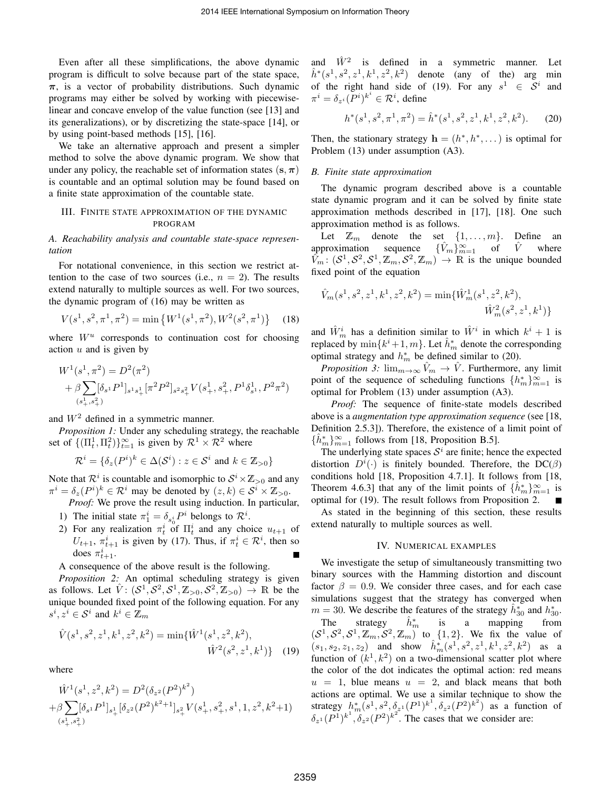Even after all these simplifications, the above dynamic program is difficult to solve because part of the state space,  $\pi$ , is a vector of probability distributions. Such dynamic programs may either be solved by working with piecewiselinear and concave envelop of the value function (see [13] and its generalizations), or by discretizing the state-space [14], or by using point-based methods [15], [16].

We take an alternative approach and present a simpler method to solve the above dynamic program. We show that under any policy, the reachable set of information states  $(s, \pi)$ is countable and an optimal solution may be found based on a finite state approximation of the countable state.

## III. FINITE STATE APPROXIMATION OF THE DYNAMIC PROGRAM

*A. Reachability analysis and countable state-space representation*

For notational convenience, in this section we restrict attention to the case of two sources (i.e.,  $n = 2$ ). The results extend naturally to multiple sources as well. For two sources, the dynamic program of (16) may be written as

$$
V(s^1, s^2, \pi^1, \pi^2) = \min\left\{W^1(s^1, \pi^2), W^2(s^2, \pi^1)\right\}
$$
 (18)

where  $W^u$  corresponds to continuation cost for choosing action  $u$  and is given by

$$
\begin{split} &W^1(s^1,\pi^2)=D^2(\pi^2)\\ &+\beta\sum_{(s^1_+,s^2_+)}[\delta_{s^1}P^1]_{s^1s^1_+}[\pi^2P^2]_{s^2s^2_+}V(s^1_+,s^2_+,P^1\delta^1_{s^1},P^2\pi^2) \end{split}
$$

and  $W^2$  defined in a symmetric manner.

*Proposition 1:* Under any scheduling strategy, the reachable set of  ${(\Pi_t^1, \Pi_t^2)}_{t=1}^{\infty}$  is given by  $\mathcal{R}^1 \times \mathcal{R}^2$  where

$$
\mathcal{R}^i = \{ \delta_z(P^i)^k \in \Delta(\mathcal{S}^i) : z \in \mathcal{S}^i \text{ and } k \in \mathbb{Z}_{>0} \}
$$

Note that  $\mathcal{R}^i$  is countable and isomorphic to  $\mathcal{S}^i \times \mathbb{Z}_{>0}$  and any  $\pi^i = \delta_z(P^i)^k \in \mathcal{R}^i$  may be denoted by  $(z, k) \in \mathcal{S}^i \times \mathbb{Z}_{>0}$ .

*Proof:* We prove the result using induction. In particular,

- 1) The initial state  $\pi_1^i = \delta_{s_0^i} P^i$  belongs to  $\mathcal{R}^i$ .
- 2) For any realization  $\pi_t^i$  of  $\Pi_t^i$  and any choice  $u_{t+1}$  of  $U_{t+1}$ ,  $\pi_{t+1}^i$  is given by (17). Thus, if  $\pi_t^i \in \mathcal{R}^i$ , then so does  $\pi^i_{t+1}$ .

A consequence of the above result is the following.

*Proposition 2:* An optimal scheduling strategy is given as follows. Let  $\hat{V}$ :  $(S^1, S^2, S^1, \mathbb{Z}_{>0}, S^2, \mathbb{Z}_{>0}) \rightarrow \mathbb{R}$  be the unique bounded fixed point of the following equation. For any  $s^i, z^i \in \mathcal{S}^i$  and  $k^i \in \mathbb{Z}_m$ 

$$
\hat{V}(s^1, s^2, z^1, k^1, z^2, k^2) = \min\{\hat{W}^1(s^1, z^2, k^2), \hat{W}^2(s^2, z^1, k^1)\}\
$$
(19)

where

$$
\label{eq:W1} \begin{split} & \hat{W}^1(s^1,z^2,k^2) = D^2(\delta_{z^2}(P^2)^{k^2}) \\ + & \beta \sum_{(s^1_+,s^2_+)} [\delta_{s^1}P^1]_{s^1_+} [\delta_{z^2}(P^2)^{k^2+1}]_{s^2_+} V(s^1_+,s^2_+,s^1,1,z^2,k^2+1) \end{split}
$$

and  $\hat{W}^2$  is defined in a symmetric manner. Let  $\hat{h}^*(s^1, s^2, z^1, k^1, z^2, k^2)$  denote (any of the) arg min of the right hand side of (19). For any  $s^1 \in S^i$ and  $\pi^i = \delta_{z^i}(P^i)^{k^i} \in \mathcal{R}^i$ , define

$$
h^*(s^1, s^2, \pi^1, \pi^2) = \hat{h}^*(s^1, s^2, z^1, k^1, z^2, k^2). \tag{20}
$$

Then, the stationary strategy  $\mathbf{h} = (h^*, h^*, \dots)$  is optimal for Problem (13) under assumption (A3).

### *B. Finite state approximation*

The dynamic program described above is a countable state dynamic program and it can be solved by finite state approximation methods described in [17], [18]. One such approximation method is as follows.

Let  $\mathbb{Z}_m$  denote the set  $\{1, \ldots, m\}$ . Define an approximation sequence  $\{\hat{V}_m\}_{m=1}^{\infty}$  of  $\hat{V}$  where  $\hat{V}_m: (\mathcal{S}^1, \mathcal{S}^2, \mathcal{S}^1, \mathbb{Z}_m, \mathcal{S}^2, \mathbb{Z}_m) \to \widehat{\mathbb{R}}$  is the unique bounded fixed point of the equation

$$
\hat{V}_m(s^1, s^2, z^1, k^1, z^2, k^2) = \min\{\hat{W}_m^1(s^1, z^2, k^2),\
$$

$$
\hat{W}_m^2(s^2, z^1, k^1)\}
$$

and  $\hat{W}_m^i$  has a definition similar to  $\hat{W}^i$  in which  $k^i + 1$  is replaced by  $\min\{k^{i}+1,m\}$ . Let  $\hat{h}_{m}^{*}$  denote the corresponding optimal strategy and  $h_m^*$  be defined similar to (20).

*Proposition 3:*  $\lim_{m\to\infty} \hat{V}_m \to \hat{V}$ . Furthermore, any limit point of the sequence of scheduling functions  $\{h_m^*\}_{m=1}^\infty$  is optimal for Problem (13) under assumption (A3).

*Proof:* The sequence of finite-state models described above is a *augmentation type approximation sequence* (see [18, Definition 2.5.3]). Therefore, the existence of a limit point of  $\{\hat{h}_m^*\}_{m=1}^\infty$  follows from [18, Proposition B.5].

The underlying state spaces  $S^i$  are finite; hence the expected distortion  $D^i(\cdot)$  is finitely bounded. Therefore, the DC( $\beta$ ) conditions hold [18, Proposition 4.7.1]. It follows from [18, Theorem 4.6.3] that any of the limit points of  $\{\hat{h}_m^*\}_{m=1}^\infty$  is optimal for (19). The result follows from Proposition 2.

As stated in the beginning of this section, these results extend naturally to multiple sources as well.

#### IV. NUMERICAL EXAMPLES

We investigate the setup of simultaneously transmitting two binary sources with the Hamming distortion and discount factor  $\beta = 0.9$ . We consider three cases, and for each case simulations suggest that the strategy has converged when  $m = 30$ . We describe the features of the strategy  $\hat{h}_{30}^{*}$  and  $h_{30}^{*}$ . The strategy  $\hat{h}_m^*$ <sup>m</sup> is a mapping from  $(S^1, S^2, S^1, \mathbb{Z}_m, S^2, \mathbb{Z}_m)$  to  $\{1, 2\}$ . We fix the value of  $(s_1, s_2, z_1, z_2)$  and show  $\hat{h}_m^*(s^1, s^2, z^1, k^1, z^2, k^2)$  as a function of  $(k<sup>1</sup>, k<sup>2</sup>)$  on a two-dimensional scatter plot where the color of the dot indicates the optimal action: red means  $u = 1$ , blue means  $u = 2$ , and black means that both actions are optimal. We use a similar technique to show the strategy  $h_m^*(s^1, s^2, \delta_{z^1}(P^1)^{k^1}, \delta_{z^2}(P^2)^{k^2})$  as a function of  $\delta_{z^1}(P^1)^{k^1}$ ,  $\delta_{z^2}(P^2)^{k^2}$ . The cases that we consider are: